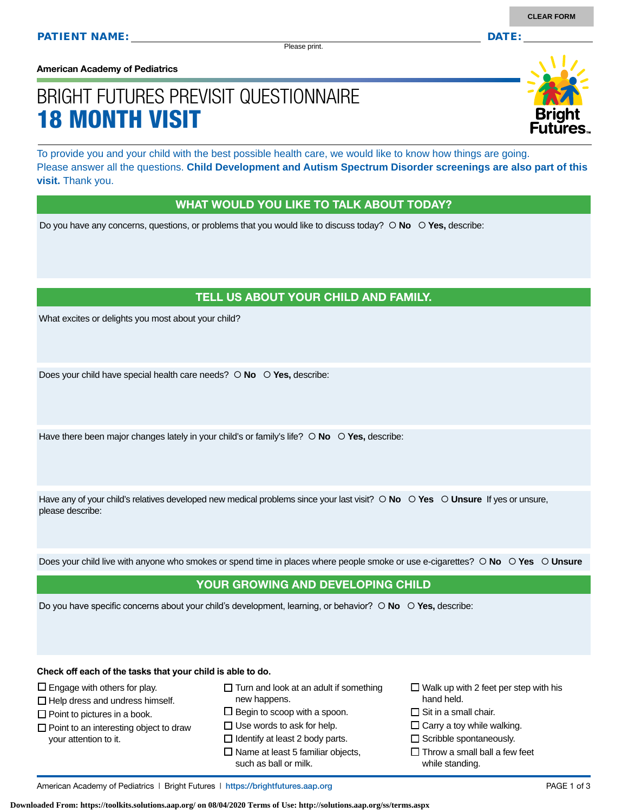Please print.

**American Academy of Pediatrics**

# BRIGHT FUTURES PREVISIT QUESTIONNAIRE 18 MONTH VISIT

To provide you and your child with the best possible health care, we would like to know how things are going. Please answer all the questions. **Child Development and Autism Spectrum Disorder screenings are also part of this visit.** Thank you.

#### WHAT WOULD YOU LIKE TO TALK ABOUT TODAY?

Do you have any concerns, questions, or problems that you would like to discuss today?  $\circ$  **No**  $\circ$  **Yes**, describe:

#### TELL US ABOUT YOUR CHILD AND FAMILY.

What excites or delights you most about your child?

Does your child have special health care needs?  $\circ$  **No**  $\circ$  **Yes**, describe:

Have there been major changes lately in your child's or family's life?  $\circ$  No  $\circ$  Yes, describe:

Have any of your child's relatives developed new medical problems since your last visit?  $\circ$  **No**  $\circ$  **Yes**  $\circ$  **Unsure** If yes or unsure, please describe:

Does your child live with anyone who smokes or spend time in places where people smoke or use e-cigarettes?  **No Yes Unsure**

#### YOUR GROWING AND DEVELOPING CHILD

Do you have specific concerns about your child's development, learning, or behavior?  **No Yes,** describe:

**Check off each of the tasks that your child is able to do.**

- $\square$  Engage with others for play.
- $\Box$  Help dress and undress himself.
- $\square$  Point to pictures in a book.
- $\Box$  Point to an interesting object to draw your attention to it.
- $\Box$  Turn and look at an adult if something new happens.
- $\square$  Begin to scoop with a spoon.
- $\square$  Use words to ask for help.
- $\Box$  Identify at least 2 body parts.  $\square$  Name at least 5 familiar objects,
- such as ball or milk.
- $\Box$  Walk up with 2 feet per step with his hand held.
- $\Box$  Sit in a small chair.
- $\square$  Carry a toy while walking.
- $\square$  Scribble spontaneously.
- $\Box$  Throw a small ball a few feet while standing.

**Downloaded From: https://toolkits.solutions.aap.org/ on 08/04/2020 Terms of Use: http://solutions.aap.org/ss/terms.aspx**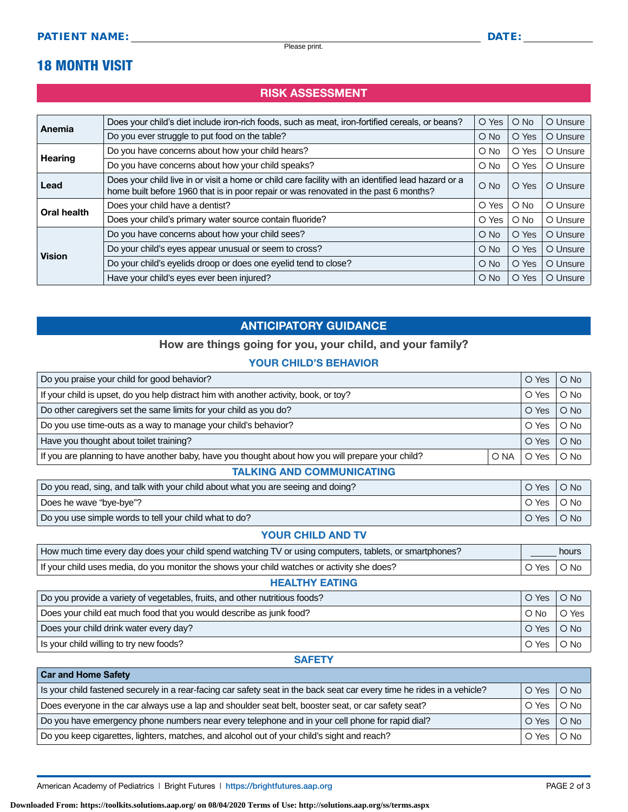## 18 MONTH VISIT

**Car and Home Safety** 

### RISK ASSESSMENT

| Anemia             | Does your child's diet include iron-rich foods, such as meat, iron-fortified cereals, or beans?                                                                                            | O Yes         | $\bigcirc$ No | O Unsure |
|--------------------|--------------------------------------------------------------------------------------------------------------------------------------------------------------------------------------------|---------------|---------------|----------|
|                    | Do you ever struggle to put food on the table?                                                                                                                                             | $\bigcirc$ No | O Yes         | O Unsure |
| <b>Hearing</b>     | Do you have concerns about how your child hears?                                                                                                                                           | $\circ$ No    | O Yes         | O Unsure |
|                    | Do you have concerns about how your child speaks?                                                                                                                                          | $O$ No        | O Yes         | O Unsure |
| Lead               | Does your child live in or visit a home or child care facility with an identified lead hazard or a<br>home built before 1960 that is in poor repair or was renovated in the past 6 months? | $O$ No        | O Yes         | O Unsure |
| <b>Oral health</b> | Does your child have a dentist?                                                                                                                                                            | O Yes         | $\bigcirc$ No | O Unsure |
|                    | Does your child's primary water source contain fluoride?                                                                                                                                   | O Yes         | $\bigcirc$ No | O Unsure |
| <b>Vision</b>      | Do you have concerns about how your child sees?                                                                                                                                            | $\bigcirc$ No | O Yes         | O Unsure |
|                    | Do your child's eyes appear unusual or seem to cross?                                                                                                                                      | $\bigcirc$ No | O Yes         | O Unsure |
|                    | Do your child's eyelids droop or does one eyelid tend to close?                                                                                                                            | $O$ No        | O Yes         | O Unsure |
|                    | Have your child's eyes ever been injured?                                                                                                                                                  | $\circ$ No    | O Yes         | O Unsure |

### ANTICIPATORY GUIDANCE

#### How are things going for you, your child, and your family?

#### YOUR CHILD'S BEHAVIOR

| O Yes                            | $O$ No     |  |  |
|----------------------------------|------------|--|--|
| O Yes                            | $\circ$ No |  |  |
| O Yes                            | $O$ No     |  |  |
| O Yes                            | $O$ No     |  |  |
| O Yes                            | $O$ No     |  |  |
| O Yes                            | $O$ No     |  |  |
| <b>TALKING AND COMMUNICATING</b> |            |  |  |
|                                  | O NA       |  |  |

| Do you read, sing, and talk with your child about what you are seeing and doing? |                     | $\circ$ No $\circ$<br>$\overline{\phantom{a}}$ O Yes $\overline{\phantom{a}}$ |
|----------------------------------------------------------------------------------|---------------------|-------------------------------------------------------------------------------|
| Does he wave "bye-bye"?                                                          |                     | ∣O Yes ∣O No ∣                                                                |
| Do you use simple words to tell your child what to do?                           | $\circ$ Yes $\circ$ | $\bigcirc$ No                                                                 |

#### YOUR CHILD AND TV

| How much time every day does your child spend watching TV or using computers, tablets, or smartphones? |  | hours                  |  |
|--------------------------------------------------------------------------------------------------------|--|------------------------|--|
| If your child uses media, do you monitor the shows your child watches or activity she does?            |  | $\circ$ Yes $\circ$ No |  |

#### HEALTHY EATING

| Do you provide a variety of vegetables, fruits, and other nutritious foods? |               | $O$ No        |
|-----------------------------------------------------------------------------|---------------|---------------|
| Does your child eat much food that you would describe as junk food?         | $\bigcirc$ No | O Yes         |
| Does your child drink water every day?                                      |               | $\circ$ No    |
| Is your child willing to try new foods?                                     |               | $\bigcirc$ No |

#### **SAFETY**

| <b>VAI AIR LIVILE VAIGLY</b>                                                                                            |              |                 |  |
|-------------------------------------------------------------------------------------------------------------------------|--------------|-----------------|--|
| Is your child fastened securely in a rear-facing car safety seat in the back seat car every time he rides in a vehicle? | O Yes        | O No            |  |
| Does everyone in the car always use a lap and shoulder seat belt, booster seat, or car safety seat?                     |              | O No<br>O Yes I |  |
| Do you have emergency phone numbers near every telephone and in your cell phone for rapid dial?                         | O Yes   O No |                 |  |
| Do you keep cigarettes, lighters, matches, and alcohol out of your child's sight and reach?                             |              | $\circ$ No      |  |

American Academy of Pediatrics | Bright Futures | https:/[/brightfutures.aap.org](https://brightfutures.aap.org/Pages/default.aspx) PAGE 2 of 3